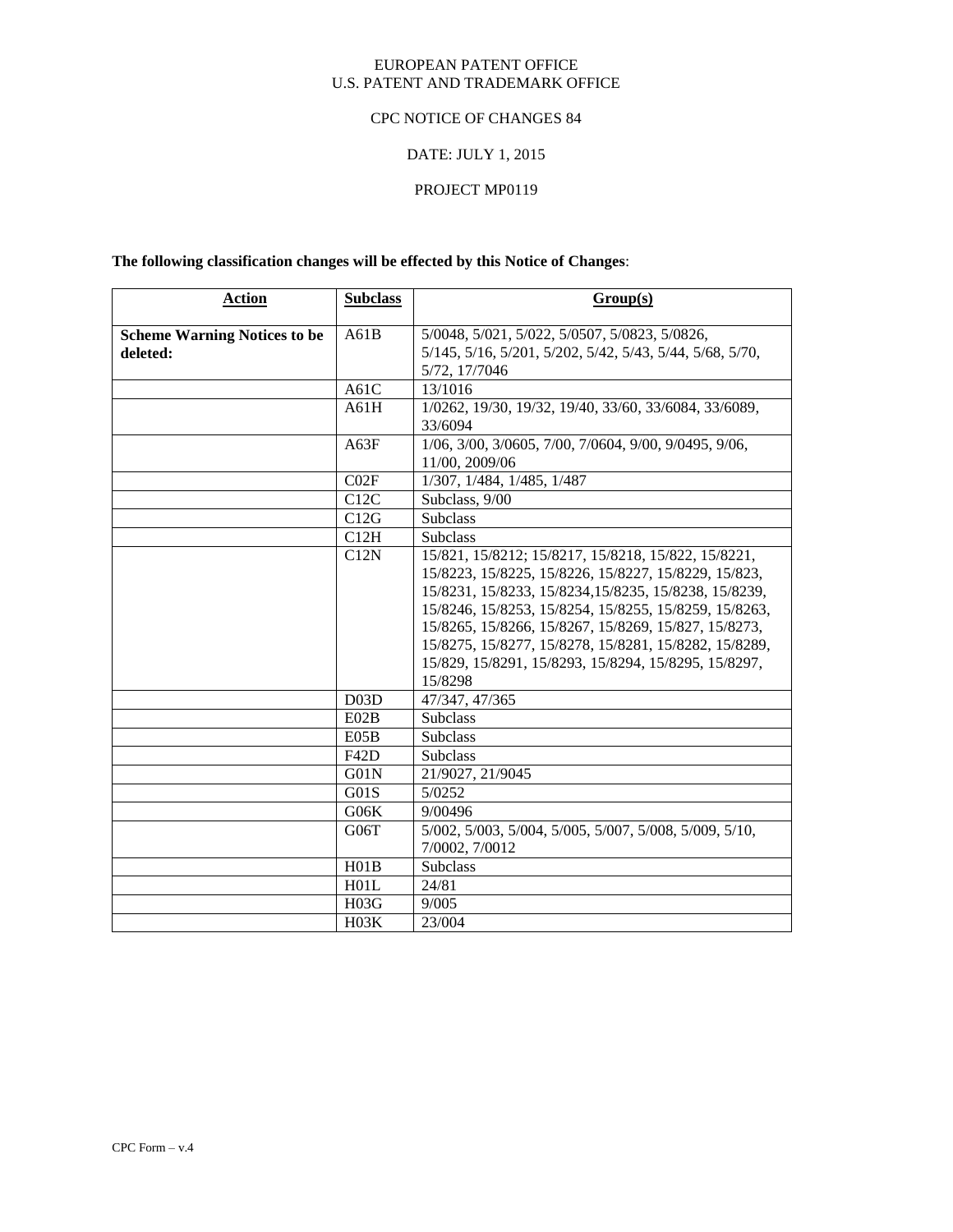#### EUROPEAN PATENT OFFICE U.S. PATENT AND TRADEMARK OFFICE

#### CPC NOTICE OF CHANGES 84

# DATE: JULY 1, 2015

# PROJECT MP0119

**The following classification changes will be effected by this Notice of Changes**:

| <b>Action</b>                       | <b>Subclass</b> | Group(s)                                                                 |
|-------------------------------------|-----------------|--------------------------------------------------------------------------|
| <b>Scheme Warning Notices to be</b> | A61B            | 5/0048, 5/021, 5/022, 5/0507, 5/0823, 5/0826,                            |
| deleted:                            |                 | 5/145, 5/16, 5/201, 5/202, 5/42, 5/43, 5/44, 5/68, 5/70,                 |
|                                     |                 | 5/72, 17/7046                                                            |
|                                     | A61C            | 13/1016                                                                  |
|                                     | A61H            | 1/0262, 19/30, 19/32, 19/40, 33/60, 33/6084, 33/6089,                    |
|                                     |                 | 33/6094                                                                  |
|                                     | A63F            | 1/06, 3/00, 3/0605, 7/00, 7/0604, 9/00, 9/0495, 9/06,                    |
|                                     |                 | 11/00, 2009/06                                                           |
|                                     | CO2F            | 1/307, 1/484, 1/485, 1/487                                               |
|                                     | C12C            | Subclass, 9/00                                                           |
|                                     | C12G            | <b>Subclass</b>                                                          |
|                                     | C12H            | <b>Subclass</b>                                                          |
|                                     | C12N            | 15/821, 15/8212; 15/8217, 15/8218, 15/822, 15/8221,                      |
|                                     |                 | 15/8223, 15/8225, 15/8226, 15/8227, 15/8229, 15/823,                     |
|                                     |                 | 15/8231, 15/8233, 15/8234, 15/8235, 15/8238, 15/8239,                    |
|                                     |                 | 15/8246, 15/8253, 15/8254, 15/8255, 15/8259, 15/8263,                    |
|                                     |                 | 15/8265, 15/8266, 15/8267, 15/8269, 15/827, 15/8273,                     |
|                                     |                 | 15/8275, 15/8277, 15/8278, 15/8281, 15/8282, 15/8289,                    |
|                                     |                 | 15/829, 15/8291, 15/8293, 15/8294, 15/8295, 15/8297,                     |
|                                     | D03D            | 15/8298                                                                  |
|                                     |                 | 47/347, 47/365<br><b>Subclass</b>                                        |
|                                     | E02B            |                                                                          |
|                                     | E05B            | <b>Subclass</b>                                                          |
|                                     | F42D            | <b>Subclass</b>                                                          |
|                                     | G01N<br>G01S    | 21/9027, 21/9045<br>$\sqrt{5/0252}$                                      |
|                                     | G06K            |                                                                          |
|                                     |                 | 9/00496                                                                  |
|                                     | G06T            | 5/002, 5/003, 5/004, 5/005, 5/007, 5/008, 5/009, 5/10,<br>7/0002, 7/0012 |
|                                     | H01B            | Subclass                                                                 |
|                                     | H01L            | 24/81                                                                    |
|                                     | H03G            | 9/005                                                                    |
|                                     | H03K            | 23/004                                                                   |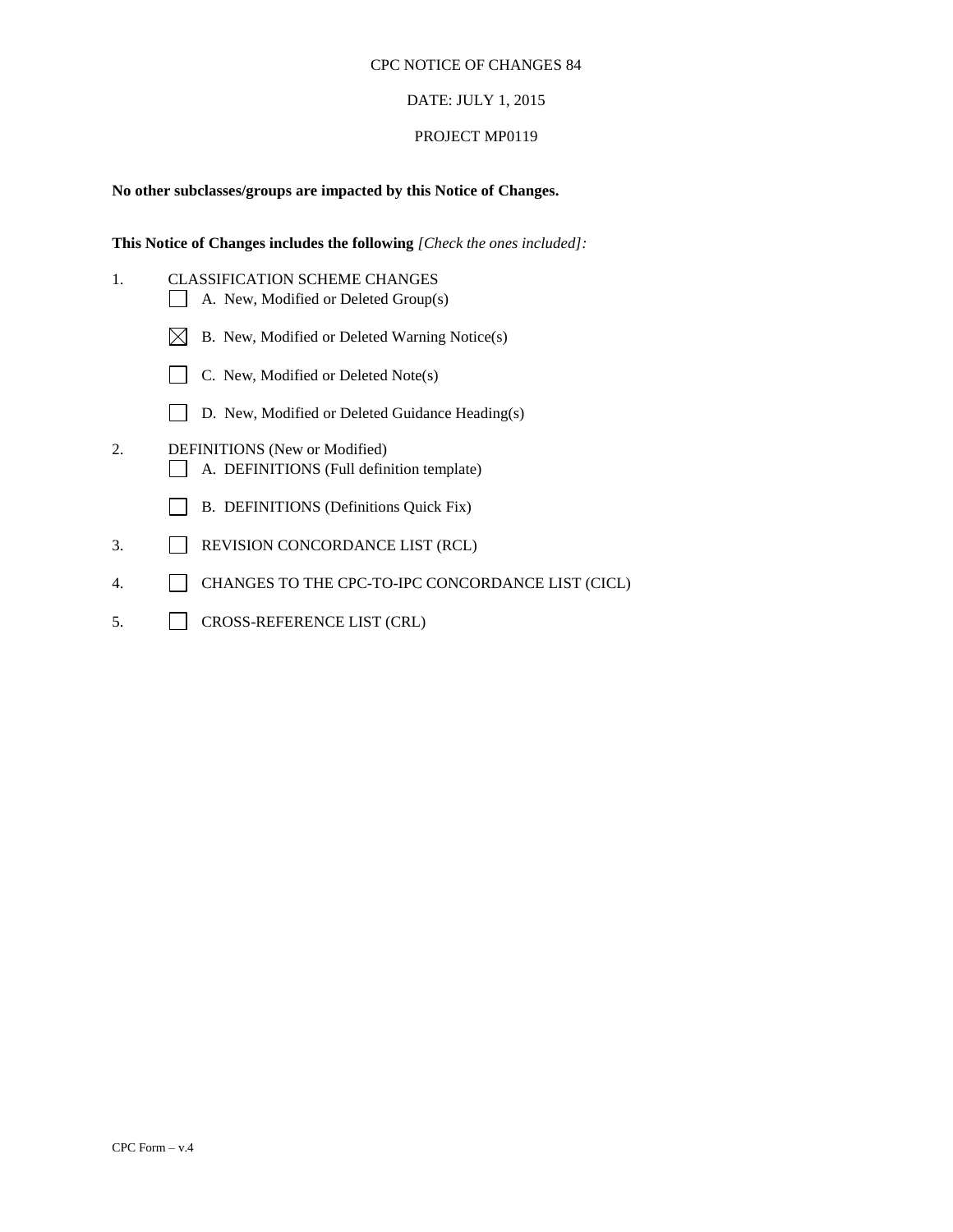#### DATE: JULY 1, 2015

#### PROJECT MP0119

## **No other subclasses/groups are impacted by this Notice of Changes.**

**This Notice of Changes includes the following** *[Check the ones included]:*

- 1. CLASSIFICATION SCHEME CHANGES A. New, Modified or Deleted Group(s)
	- $\boxtimes$  B. New, Modified or Deleted Warning Notice(s)
	- C. New, Modified or Deleted Note(s)
	- D. New, Modified or Deleted Guidance Heading(s)
- 2. DEFINITIONS (New or Modified) A. DEFINITIONS (Full definition template)
	- B. DEFINITIONS (Definitions Quick Fix)
- 3. REVISION CONCORDANCE LIST (RCL)
- 4. CHANGES TO THE CPC-TO-IPC CONCORDANCE LIST (CICL)
- 5. CROSS-REFERENCE LIST (CRL)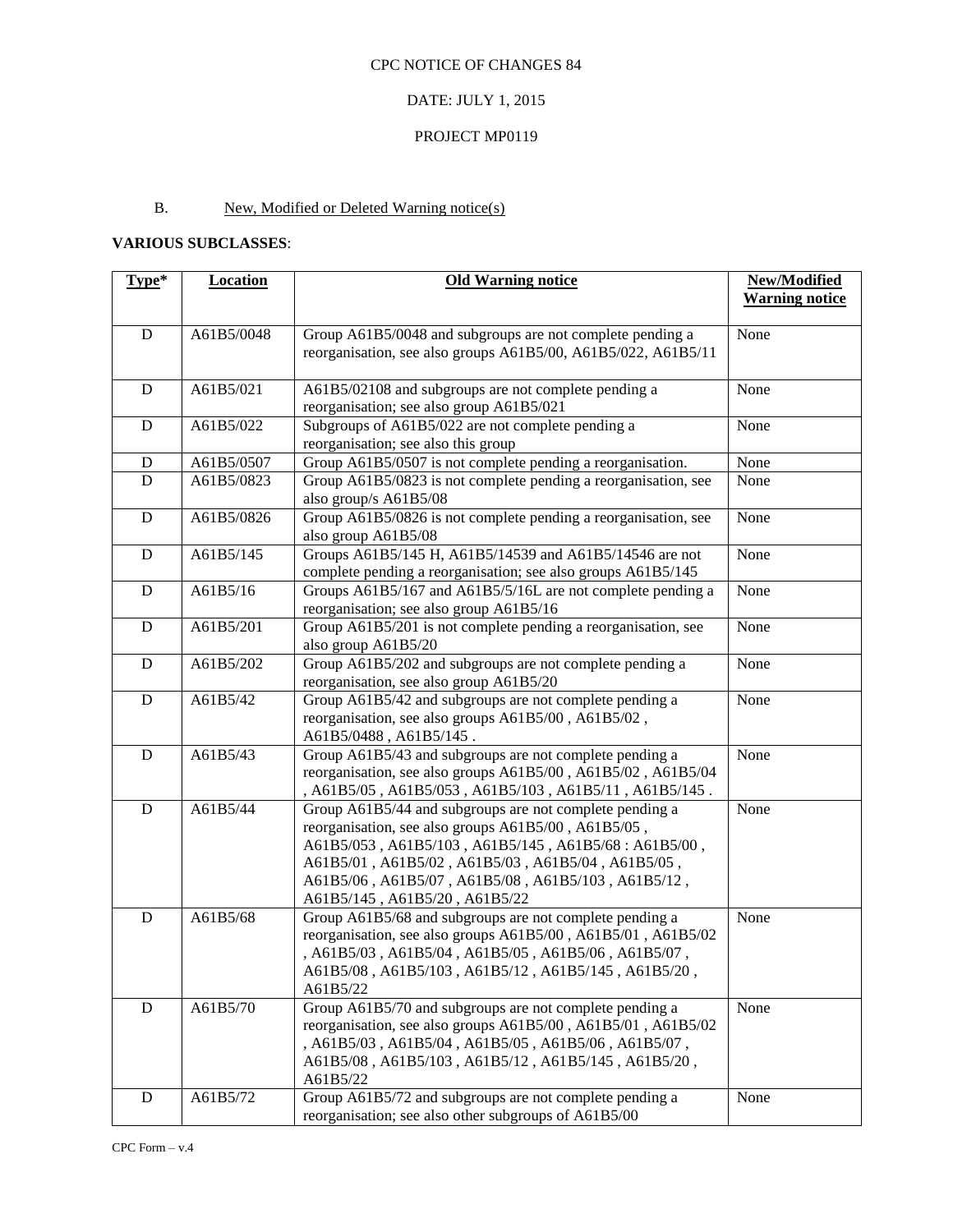# DATE: JULY 1, 2015

## PROJECT MP0119

# B. New, Modified or Deleted Warning notice(s)

# **VARIOUS SUBCLASSES**:

| Type*       | <b>Location</b> | <b>Old Warning notice</b>                                                                                                                                                                                                                                                                                          | New/Modified<br><b>Warning notice</b> |
|-------------|-----------------|--------------------------------------------------------------------------------------------------------------------------------------------------------------------------------------------------------------------------------------------------------------------------------------------------------------------|---------------------------------------|
|             |                 |                                                                                                                                                                                                                                                                                                                    |                                       |
| ${\bf D}$   | A61B5/0048      | Group A61B5/0048 and subgroups are not complete pending a<br>reorganisation, see also groups A61B5/00, A61B5/022, A61B5/11                                                                                                                                                                                         | None                                  |
| $\mathbf D$ | A61B5/021       | A61B5/02108 and subgroups are not complete pending a<br>reorganisation; see also group A61B5/021                                                                                                                                                                                                                   | None                                  |
| D           | A61B5/022       | Subgroups of A61B5/022 are not complete pending a<br>reorganisation; see also this group                                                                                                                                                                                                                           | None                                  |
| D           | A61B5/0507      | Group A61B5/0507 is not complete pending a reorganisation.                                                                                                                                                                                                                                                         | None                                  |
| D           | A61B5/0823      | Group A61B5/0823 is not complete pending a reorganisation, see<br>also group/s A61B5/08                                                                                                                                                                                                                            | None                                  |
| ${\bf D}$   | A61B5/0826      | Group A61B5/0826 is not complete pending a reorganisation, see<br>also group A61B5/08                                                                                                                                                                                                                              | None                                  |
| ${\bf D}$   | A61B5/145       | Groups A61B5/145 H, A61B5/14539 and A61B5/14546 are not<br>complete pending a reorganisation; see also groups A61B5/145                                                                                                                                                                                            | None                                  |
| ${\bf D}$   | A61B5/16        | Groups A61B5/167 and A61B5/5/16L are not complete pending a<br>reorganisation; see also group A61B5/16                                                                                                                                                                                                             | None                                  |
| ${\bf D}$   | A61B5/201       | Group A61B5/201 is not complete pending a reorganisation, see<br>also group A61B5/20                                                                                                                                                                                                                               | None                                  |
| D           | A61B5/202       | Group A61B5/202 and subgroups are not complete pending a<br>reorganisation, see also group A61B5/20                                                                                                                                                                                                                | None                                  |
| $\mathbf D$ | A61B5/42        | Group A61B5/42 and subgroups are not complete pending a<br>reorganisation, see also groups A61B5/00, A61B5/02,<br>A61B5/0488, A61B5/145.                                                                                                                                                                           | None                                  |
| ${\bf D}$   | A61B5/43        | Group A61B5/43 and subgroups are not complete pending a<br>reorganisation, see also groups A61B5/00, A61B5/02, A61B5/04<br>, A61B5/05, A61B5/053, A61B5/103, A61B5/11, A61B5/145.                                                                                                                                  | None                                  |
| ${\bf D}$   | A61B5/44        | Group A61B5/44 and subgroups are not complete pending a<br>reorganisation, see also groups A61B5/00, A61B5/05,<br>A61B5/053, A61B5/103, A61B5/145, A61B5/68: A61B5/00,<br>A61B5/01, A61B5/02, A61B5/03, A61B5/04, A61B5/05,<br>A61B5/06, A61B5/07, A61B5/08, A61B5/103, A61B5/12,<br>A61B5/145, A61B5/20, A61B5/22 | None                                  |
| ${\bf D}$   | A61B5/68        | Group A61B5/68 and subgroups are not complete pending a<br>reorganisation, see also groups A61B5/00, A61B5/01, A61B5/02<br>, A61B5/03, A61B5/04, A61B5/05, A61B5/06, A61B5/07,<br>A61B5/08, A61B5/103, A61B5/12, A61B5/145, A61B5/20,<br>A61B5/22                                                                  | None                                  |
| ${\bf D}$   | A61B5/70        | Group A61B5/70 and subgroups are not complete pending a<br>reorganisation, see also groups A61B5/00, A61B5/01, A61B5/02<br>, A61B5/03, A61B5/04, A61B5/05, A61B5/06, A61B5/07,<br>A61B5/08, A61B5/103, A61B5/12, A61B5/145, A61B5/20,<br>A61B5/22                                                                  | None                                  |
| D           | A61B5/72        | Group A61B5/72 and subgroups are not complete pending a<br>reorganisation; see also other subgroups of A61B5/00                                                                                                                                                                                                    | None                                  |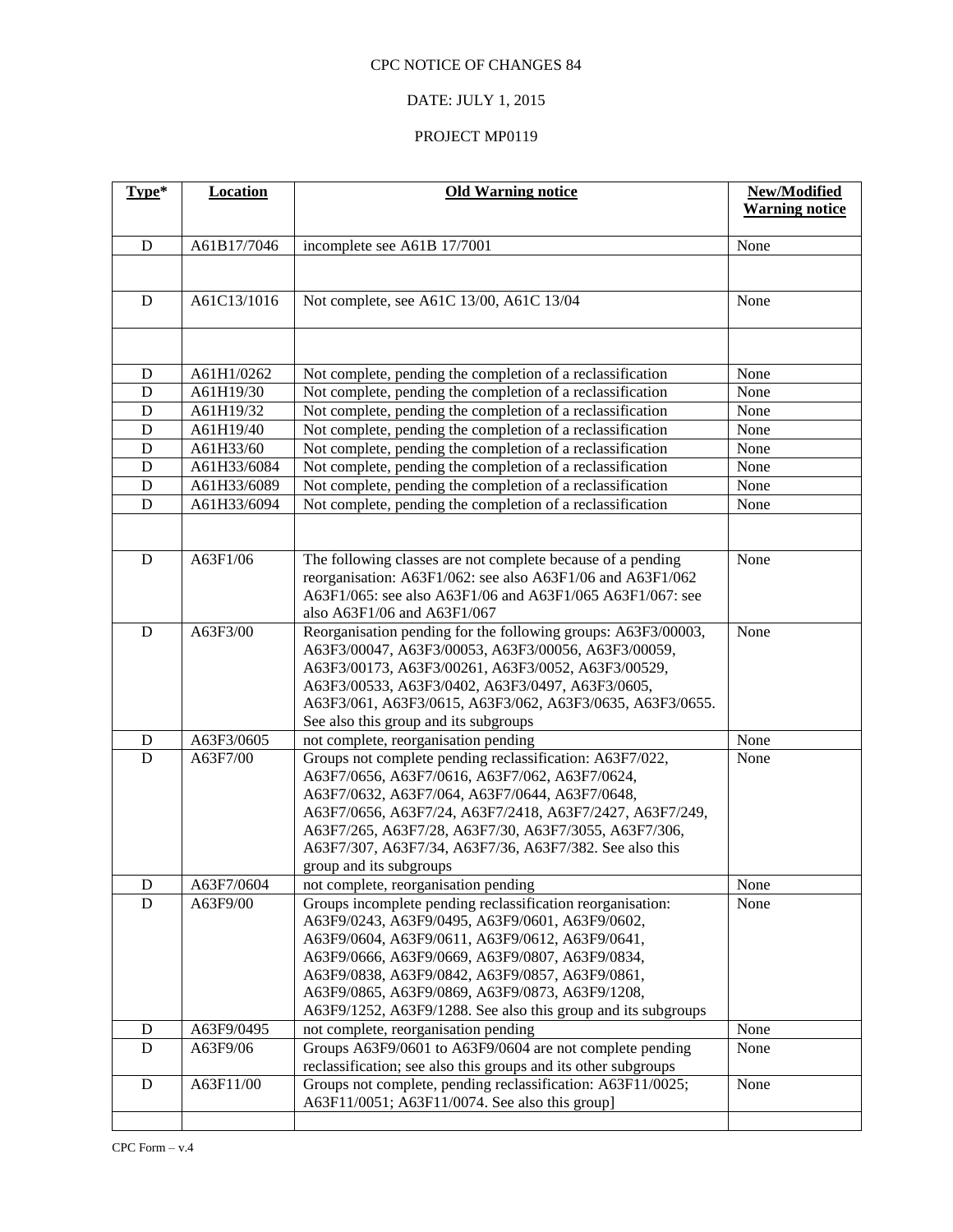# DATE: JULY 1, 2015

| Type*               | <b>Location</b> | <b>Old Warning notice</b>                                                                                                 | New/Modified          |
|---------------------|-----------------|---------------------------------------------------------------------------------------------------------------------------|-----------------------|
|                     |                 |                                                                                                                           | <b>Warning notice</b> |
| $\mathbf D$         | A61B17/7046     | incomplete see A61B 17/7001                                                                                               | None                  |
|                     |                 |                                                                                                                           |                       |
|                     |                 |                                                                                                                           |                       |
| D                   | A61C13/1016     | Not complete, see A61C 13/00, A61C 13/04                                                                                  | None                  |
|                     |                 |                                                                                                                           |                       |
|                     |                 |                                                                                                                           |                       |
| D                   | A61H1/0262      | Not complete, pending the completion of a reclassification                                                                | None                  |
| D                   | A61H19/30       | Not complete, pending the completion of a reclassification                                                                | None                  |
| $\mathbf D$         | A61H19/32       | Not complete, pending the completion of a reclassification                                                                | None                  |
| $\mathbf D$         | A61H19/40       | Not complete, pending the completion of a reclassification                                                                | None                  |
| $\mathbf D$         | A61H33/60       | Not complete, pending the completion of a reclassification                                                                | None                  |
| $\mathbf D$         | A61H33/6084     | Not complete, pending the completion of a reclassification                                                                | None                  |
| D                   | A61H33/6089     | Not complete, pending the completion of a reclassification                                                                | None                  |
| $\overline{D}$      | A61H33/6094     | Not complete, pending the completion of a reclassification                                                                | None                  |
|                     |                 |                                                                                                                           |                       |
|                     |                 |                                                                                                                           |                       |
| D                   | A63F1/06        | The following classes are not complete because of a pending<br>reorganisation: A63F1/062: see also A63F1/06 and A63F1/062 | None                  |
|                     |                 | A63F1/065: see also A63F1/06 and A63F1/065 A63F1/067: see                                                                 |                       |
|                     |                 | also A63F1/06 and A63F1/067                                                                                               |                       |
| D                   | A63F3/00        | Reorganisation pending for the following groups: A63F3/00003,                                                             | None                  |
|                     |                 | A63F3/00047, A63F3/00053, A63F3/00056, A63F3/00059,                                                                       |                       |
|                     |                 | A63F3/00173, A63F3/00261, A63F3/0052, A63F3/00529,                                                                        |                       |
|                     |                 | A63F3/00533, A63F3/0402, A63F3/0497, A63F3/0605,                                                                          |                       |
|                     |                 | A63F3/061, A63F3/0615, A63F3/062, A63F3/0635, A63F3/0655.                                                                 |                       |
|                     |                 | See also this group and its subgroups                                                                                     |                       |
| D                   | A63F3/0605      | not complete, reorganisation pending                                                                                      | None                  |
| $\mathbf D$         | A63F7/00        | Groups not complete pending reclassification: A63F7/022,                                                                  | None                  |
|                     |                 | A63F7/0656, A63F7/0616, A63F7/062, A63F7/0624,                                                                            |                       |
|                     |                 | A63F7/0632, A63F7/064, A63F7/0644, A63F7/0648,                                                                            |                       |
|                     |                 | A63F7/0656, A63F7/24, A63F7/2418, A63F7/2427, A63F7/249,                                                                  |                       |
|                     |                 | A63F7/265, A63F7/28, A63F7/30, A63F7/3055, A63F7/306,                                                                     |                       |
|                     |                 | A63F7/307, A63F7/34, A63F7/36, A63F7/382. See also this                                                                   |                       |
|                     | A63F7/0604      | group and its subgroups<br>not complete, reorganisation pending                                                           |                       |
| D<br>$\overline{D}$ | A63F9/00        | Groups incomplete pending reclassification reorganisation:                                                                | None<br>None          |
|                     |                 | A63F9/0243, A63F9/0495, A63F9/0601, A63F9/0602,                                                                           |                       |
|                     |                 | A63F9/0604, A63F9/0611, A63F9/0612, A63F9/0641,                                                                           |                       |
|                     |                 | A63F9/0666, A63F9/0669, A63F9/0807, A63F9/0834,                                                                           |                       |
|                     |                 | A63F9/0838, A63F9/0842, A63F9/0857, A63F9/0861,                                                                           |                       |
|                     |                 | A63F9/0865, A63F9/0869, A63F9/0873, A63F9/1208,                                                                           |                       |
|                     |                 | A63F9/1252, A63F9/1288. See also this group and its subgroups                                                             |                       |
| D                   | A63F9/0495      | not complete, reorganisation pending                                                                                      | None                  |
| $\mathbf D$         | A63F9/06        | Groups A63F9/0601 to A63F9/0604 are not complete pending                                                                  | None                  |
|                     |                 | reclassification; see also this groups and its other subgroups                                                            |                       |
| $\mathbf D$         | A63F11/00       | Groups not complete, pending reclassification: A63F11/0025;                                                               | None                  |
|                     |                 | A63F11/0051; A63F11/0074. See also this group]                                                                            |                       |
|                     |                 |                                                                                                                           |                       |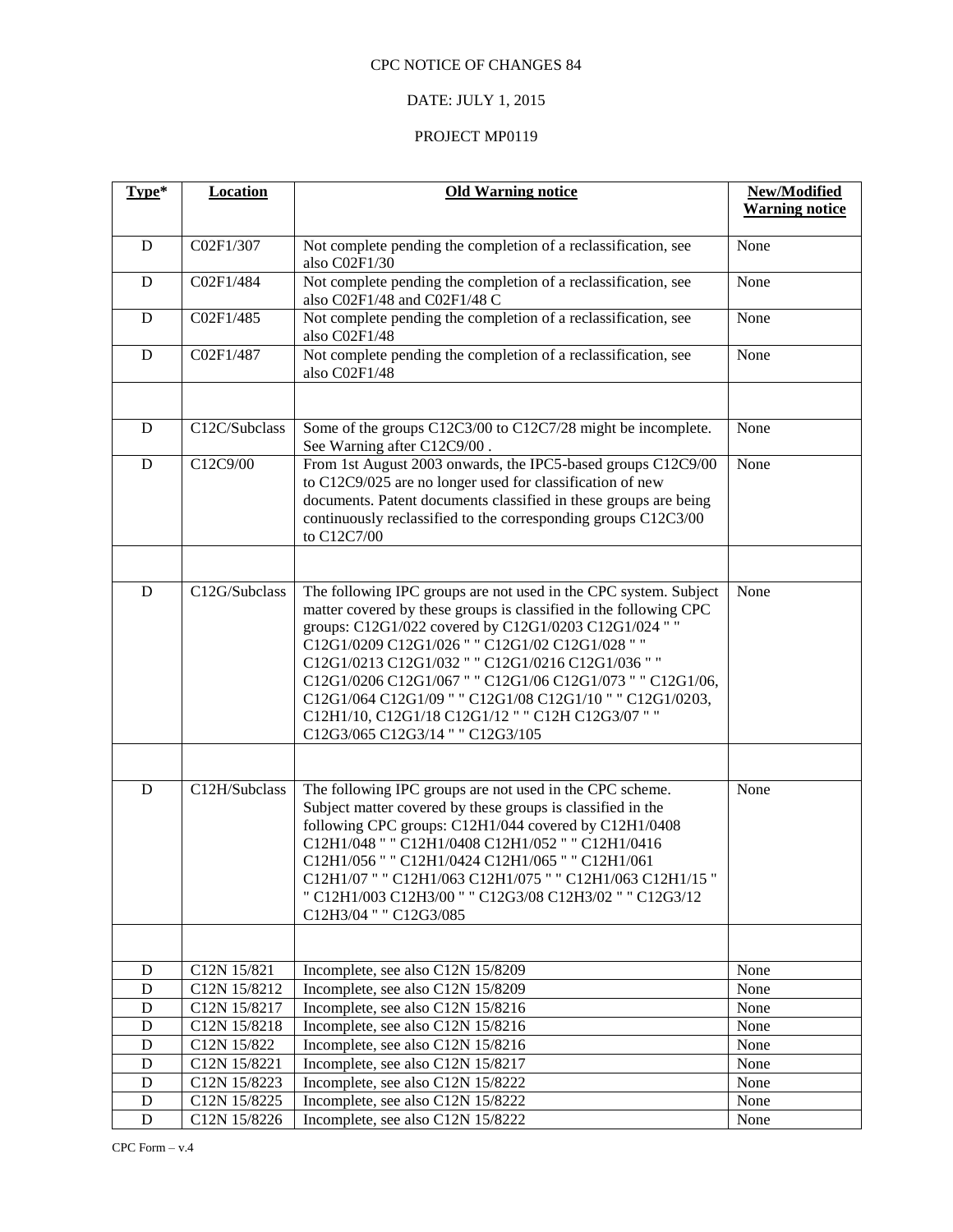## DATE: JULY 1, 2015

| Type*       | <b>Location</b>             | <b>Old Warning notice</b>                                                                                                                                                                                                                                                                                                                                                                                                                                                                                                | New/Modified          |
|-------------|-----------------------------|--------------------------------------------------------------------------------------------------------------------------------------------------------------------------------------------------------------------------------------------------------------------------------------------------------------------------------------------------------------------------------------------------------------------------------------------------------------------------------------------------------------------------|-----------------------|
|             |                             |                                                                                                                                                                                                                                                                                                                                                                                                                                                                                                                          | <b>Warning notice</b> |
| D           | C02F1/307                   | Not complete pending the completion of a reclassification, see                                                                                                                                                                                                                                                                                                                                                                                                                                                           | None                  |
|             |                             | also C02F1/30                                                                                                                                                                                                                                                                                                                                                                                                                                                                                                            |                       |
| D           | CO2F1/484                   | Not complete pending the completion of a reclassification, see                                                                                                                                                                                                                                                                                                                                                                                                                                                           | None                  |
|             |                             | also C02F1/48 and C02F1/48 C                                                                                                                                                                                                                                                                                                                                                                                                                                                                                             |                       |
| D           | C02F1/485                   | Not complete pending the completion of a reclassification, see<br>also C02F1/48                                                                                                                                                                                                                                                                                                                                                                                                                                          | None                  |
| D           | C02F1/487                   | Not complete pending the completion of a reclassification, see<br>also C02F1/48                                                                                                                                                                                                                                                                                                                                                                                                                                          | None                  |
|             |                             |                                                                                                                                                                                                                                                                                                                                                                                                                                                                                                                          |                       |
| D           | C12C/Subclass               | Some of the groups C12C3/00 to C12C7/28 might be incomplete.<br>See Warning after C12C9/00.                                                                                                                                                                                                                                                                                                                                                                                                                              | None                  |
| $\mathbf D$ | C12C9/00                    | From 1st August 2003 onwards, the IPC5-based groups C12C9/00<br>to C12C9/025 are no longer used for classification of new<br>documents. Patent documents classified in these groups are being<br>continuously reclassified to the corresponding groups C12C3/00<br>to C12C7/00                                                                                                                                                                                                                                           | None                  |
|             |                             |                                                                                                                                                                                                                                                                                                                                                                                                                                                                                                                          |                       |
| D           | $\overline{C}$ 12G/Subclass | The following IPC groups are not used in the CPC system. Subject<br>matter covered by these groups is classified in the following CPC<br>groups: C12G1/022 covered by C12G1/0203 C12G1/024 " "<br>C12G1/0209 C12G1/026 " " C12G1/02 C12G1/028 " "<br>C12G1/0213 C12G1/032 " " C12G1/0216 C12G1/036 " "<br>C12G1/0206 C12G1/067 " " C12G1/06 C12G1/073 " " C12G1/06,<br>C12G1/064 C12G1/09 " " C12G1/08 C12G1/10 " " C12G1/0203,<br>C12H1/10, C12G1/18 C12G1/12 " " C12H C12G3/07 " "<br>C12G3/065 C12G3/14 " " C12G3/105 | None                  |
|             |                             |                                                                                                                                                                                                                                                                                                                                                                                                                                                                                                                          |                       |
| D           | C12H/Subclass               | The following IPC groups are not used in the CPC scheme.<br>Subject matter covered by these groups is classified in the<br>following CPC groups: C12H1/044 covered by C12H1/0408<br>C12H1/048 " " C12H1/0408 C12H1/052 " " C12H1/0416<br>C12H1/056 " " C12H1/0424 C12H1/065 " " C12H1/061<br>C12H1/07 " " C12H1/063 C12H1/075 " " C12H1/063 C12H1/15 "<br>" C12H1/003 C12H3/00 " " C12G3/08 C12H3/02 " " C12G3/12<br>C12H3/04 " " C12G3/085                                                                              | None                  |
|             |                             |                                                                                                                                                                                                                                                                                                                                                                                                                                                                                                                          |                       |
| D           | C12N 15/821                 | Incomplete, see also C12N 15/8209                                                                                                                                                                                                                                                                                                                                                                                                                                                                                        | None                  |
| D           | C12N 15/8212                | Incomplete, see also C12N 15/8209                                                                                                                                                                                                                                                                                                                                                                                                                                                                                        | None                  |
| D           | C <sub>12</sub> N 15/8217   | Incomplete, see also C12N 15/8216                                                                                                                                                                                                                                                                                                                                                                                                                                                                                        | None                  |
| D           | C12N 15/8218                | Incomplete, see also C12N 15/8216                                                                                                                                                                                                                                                                                                                                                                                                                                                                                        | None                  |
| D           | C12N 15/822                 | Incomplete, see also C12N 15/8216                                                                                                                                                                                                                                                                                                                                                                                                                                                                                        | None                  |
| $\mathbf D$ | C12N 15/8221                | Incomplete, see also C12N 15/8217                                                                                                                                                                                                                                                                                                                                                                                                                                                                                        | None                  |
| D           | C12N 15/8223                | Incomplete, see also C12N 15/8222                                                                                                                                                                                                                                                                                                                                                                                                                                                                                        | None                  |
| ${\bf D}$   | C12N 15/8225                | Incomplete, see also C12N 15/8222                                                                                                                                                                                                                                                                                                                                                                                                                                                                                        | None                  |
| ${\bf D}$   | C12N 15/8226                | Incomplete, see also C12N 15/8222                                                                                                                                                                                                                                                                                                                                                                                                                                                                                        | None                  |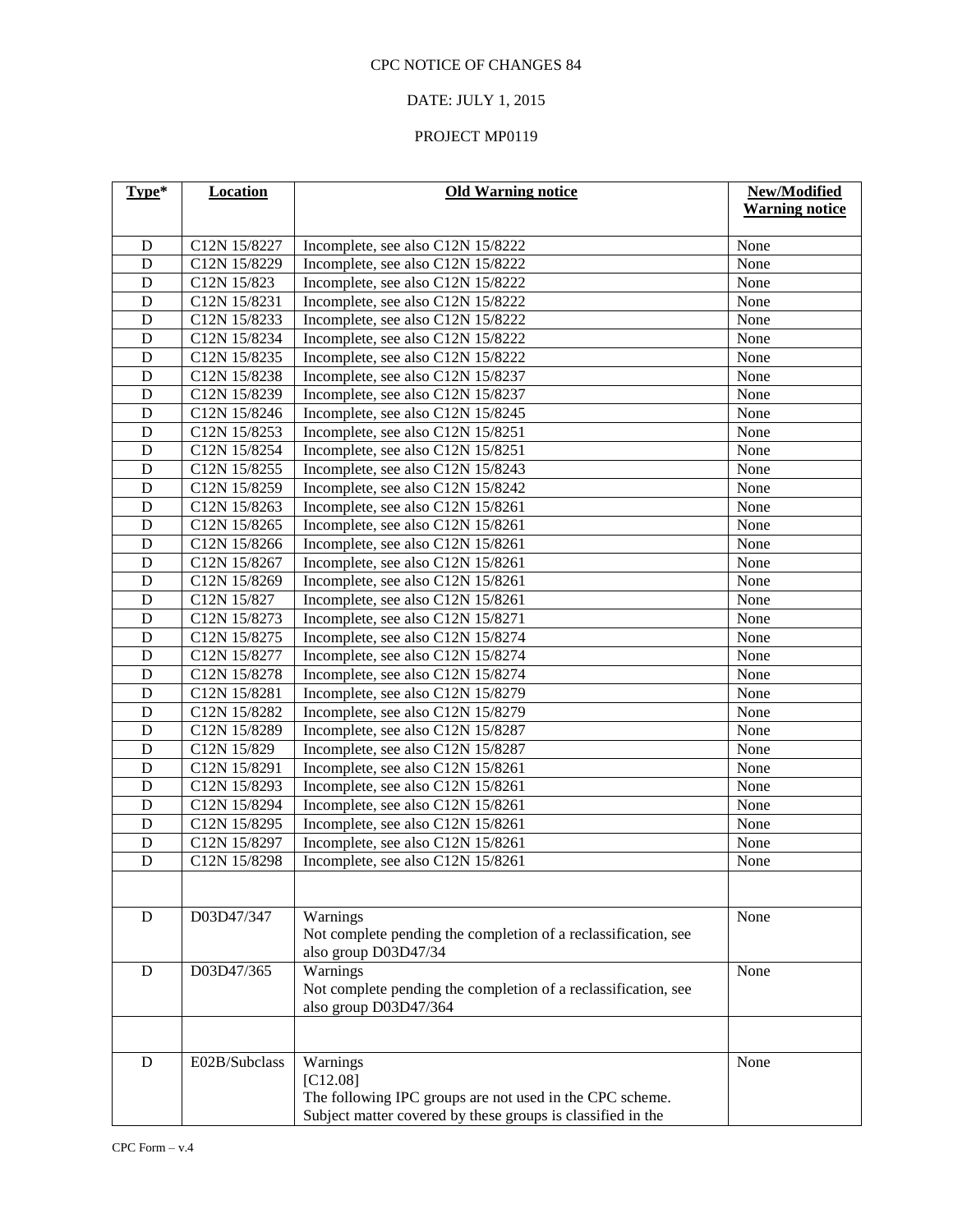## DATE: JULY 1, 2015

| Type*                       | <b>Location</b> | <b>Old Warning notice</b>                                      | New/Modified          |
|-----------------------------|-----------------|----------------------------------------------------------------|-----------------------|
|                             |                 |                                                                | <b>Warning notice</b> |
| D                           | C12N 15/8227    | Incomplete, see also C12N 15/8222                              | None                  |
| $\mathbf D$                 | C12N 15/8229    | Incomplete, see also C12N 15/8222                              | None                  |
| $\mathbf D$                 | C12N 15/823     | Incomplete, see also C12N 15/8222                              | None                  |
| $\mathbf D$                 | C12N 15/8231    | Incomplete, see also C12N 15/8222                              | None                  |
| $\mathbf D$                 | C12N 15/8233    |                                                                | None                  |
| $\mathbf D$                 |                 | Incomplete, see also C12N 15/8222                              |                       |
| D                           | C12N 15/8234    | Incomplete, see also C12N 15/8222                              | None<br>None          |
| $\mathbf D$                 | C12N 15/8235    | Incomplete, see also C12N 15/8222                              | None                  |
| $\mathbf D$                 | C12N 15/8238    | Incomplete, see also C12N 15/8237                              |                       |
|                             | C12N 15/8239    | Incomplete, see also C12N 15/8237                              | None                  |
| ${\bf D}$                   | C12N 15/8246    | Incomplete, see also C12N 15/8245                              | None                  |
| ${\bf D}$<br>$\overline{D}$ | C12N 15/8253    | Incomplete, see also C12N 15/8251                              | None                  |
|                             | C12N 15/8254    | Incomplete, see also C12N 15/8251                              | None                  |
| $\mathbf D$                 | C12N 15/8255    | Incomplete, see also C12N 15/8243                              | None                  |
| $\mathbf D$                 | C12N 15/8259    | Incomplete, see also C12N 15/8242                              | None                  |
| $\mathbf D$                 | C12N 15/8263    | Incomplete, see also C12N 15/8261                              | None                  |
| $\overline{D}$              | C12N 15/8265    | Incomplete, see also C12N 15/8261                              | None                  |
| $\mathbf D$                 | C12N 15/8266    | Incomplete, see also C12N 15/8261                              | None                  |
| D                           | C12N 15/8267    | Incomplete, see also C12N 15/8261                              | None                  |
| $\mathbf D$                 | C12N 15/8269    | Incomplete, see also C12N 15/8261                              | None                  |
| $\mathbf D$                 | C12N 15/827     | Incomplete, see also C12N 15/8261                              | None                  |
| $\mathbf D$                 | C12N 15/8273    | Incomplete, see also C12N 15/8271                              | None                  |
| D                           | C12N 15/8275    | Incomplete, see also C12N 15/8274                              | None                  |
| $\overline{D}$              | C12N 15/8277    | Incomplete, see also C12N 15/8274                              | None                  |
| $\mathbf D$                 | C12N 15/8278    | Incomplete, see also C12N 15/8274                              | None                  |
| $\mathbf D$                 | C12N 15/8281    | Incomplete, see also C12N 15/8279                              | None                  |
| $\mathbf D$                 | C12N 15/8282    | Incomplete, see also C12N 15/8279                              | None                  |
| $\overline{D}$              | C12N 15/8289    | Incomplete, see also C12N 15/8287                              | None                  |
| $\mathbf D$                 | C12N 15/829     | Incomplete, see also C12N 15/8287                              | None                  |
| $\mathbf D$                 | C12N 15/8291    | Incomplete, see also C12N 15/8261                              | None                  |
| $\mathbf D$                 | C12N 15/8293    | Incomplete, see also C12N 15/8261                              | None                  |
| $\overline{D}$              | C12N 15/8294    | Incomplete, see also C12N 15/8261                              | None                  |
| D                           | C12N 15/8295    | Incomplete, see also C12N 15/8261                              | None                  |
| $\mathbf D$                 | C12N 15/8297    | Incomplete, see also C12N 15/8261                              | None                  |
| $\overline{D}$              | C12N 15/8298    | Incomplete, see also C12N 15/8261                              | None                  |
|                             |                 |                                                                |                       |
| D                           | D03D47/347      | Warnings                                                       | None                  |
|                             |                 | Not complete pending the completion of a reclassification, see |                       |
|                             |                 | also group D03D47/34                                           |                       |
| ${\bf D}$                   | D03D47/365      | Warnings                                                       | None                  |
|                             |                 | Not complete pending the completion of a reclassification, see |                       |
|                             |                 | also group D03D47/364                                          |                       |
|                             |                 |                                                                |                       |
|                             |                 |                                                                |                       |
| D                           | E02B/Subclass   | Warnings                                                       | None                  |
|                             |                 | $[C12.08]$                                                     |                       |
|                             |                 | The following IPC groups are not used in the CPC scheme.       |                       |
|                             |                 | Subject matter covered by these groups is classified in the    |                       |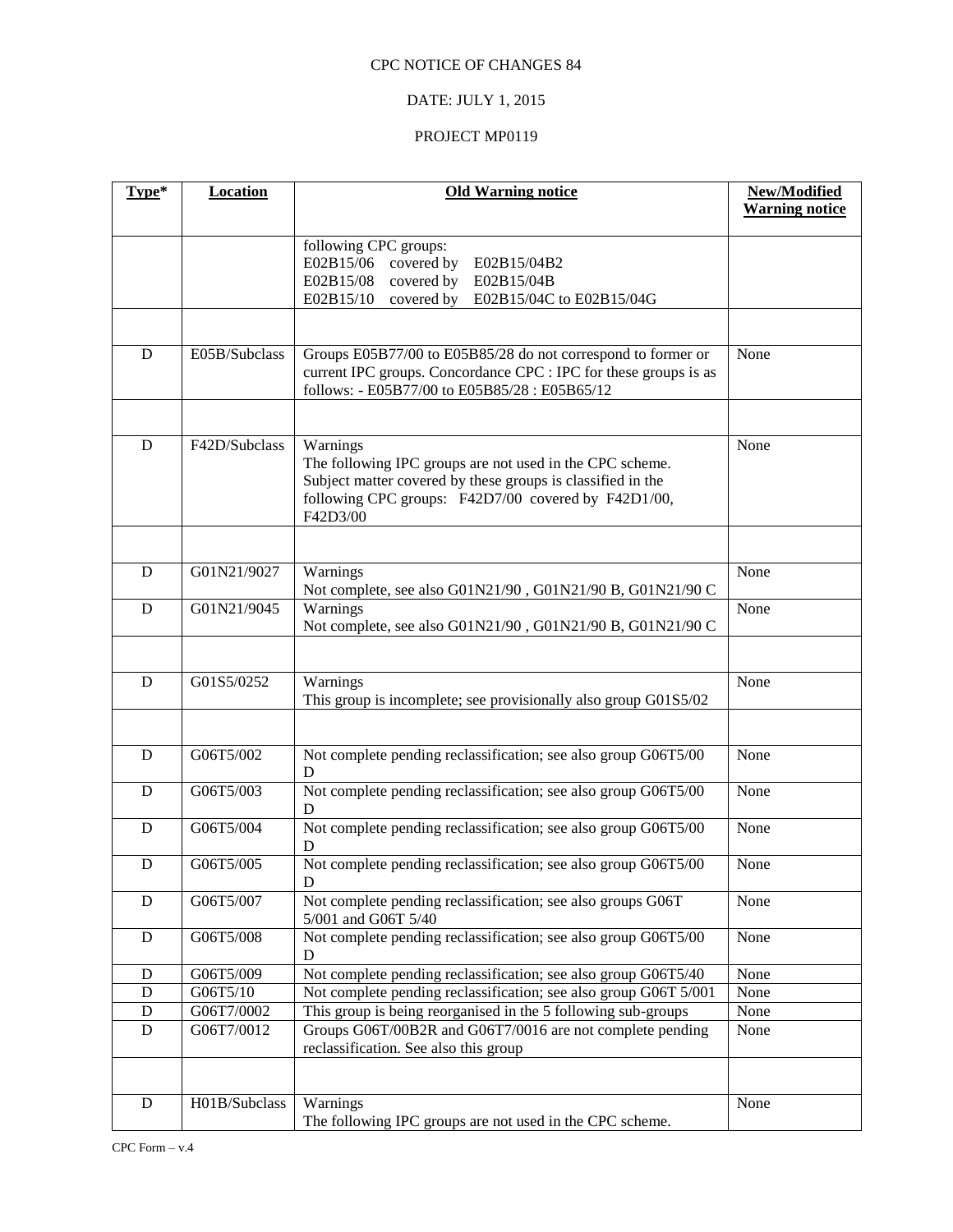# DATE: JULY 1, 2015

| Type*       | <b>Location</b> | <b>Old Warning notice</b>                                                             | New/Modified          |
|-------------|-----------------|---------------------------------------------------------------------------------------|-----------------------|
|             |                 |                                                                                       | <b>Warning notice</b> |
|             |                 | following CPC groups:                                                                 |                       |
|             |                 | E02B15/06 covered by<br>E02B15/04B2                                                   |                       |
|             |                 | covered by<br>E02B15/08<br>E02B15/04B                                                 |                       |
|             |                 | E02B15/10<br>covered by<br>E02B15/04C to E02B15/04G                                   |                       |
|             |                 |                                                                                       |                       |
| D           | E05B/Subclass   | Groups E05B77/00 to E05B85/28 do not correspond to former or                          | None                  |
|             |                 | current IPC groups. Concordance CPC : IPC for these groups is as                      |                       |
|             |                 | follows: - E05B77/00 to E05B85/28 : E05B65/12                                         |                       |
|             |                 |                                                                                       |                       |
| D           | F42D/Subclass   | Warnings                                                                              | None                  |
|             |                 | The following IPC groups are not used in the CPC scheme.                              |                       |
|             |                 | Subject matter covered by these groups is classified in the                           |                       |
|             |                 | following CPC groups: F42D7/00 covered by F42D1/00,                                   |                       |
|             |                 | F42D3/00                                                                              |                       |
|             |                 |                                                                                       |                       |
| D           | G01N21/9027     | Warnings                                                                              | None                  |
|             |                 | Not complete, see also G01N21/90, G01N21/90 B, G01N21/90 C                            |                       |
| D           | G01N21/9045     | Warnings                                                                              | None                  |
|             |                 | Not complete, see also G01N21/90, G01N21/90 B, G01N21/90 C                            |                       |
|             |                 |                                                                                       |                       |
| D           | G01S5/0252      | Warnings                                                                              | None                  |
|             |                 | This group is incomplete; see provisionally also group G01S5/02                       |                       |
|             |                 |                                                                                       |                       |
|             |                 |                                                                                       |                       |
| D           | G06T5/002       | Not complete pending reclassification; see also group G06T5/00                        | None                  |
| D           | G06T5/003       | D<br>Not complete pending reclassification; see also group G06T5/00                   | None                  |
|             |                 | D                                                                                     |                       |
| D           | G06T5/004       | Not complete pending reclassification; see also group G06T5/00                        | None                  |
|             |                 | D                                                                                     |                       |
| D           | G06T5/005       | Not complete pending reclassification; see also group G06T5/00                        | None                  |
|             |                 | D                                                                                     |                       |
| D           | G06T5/007       | Not complete pending reclassification; see also groups G06T                           | None                  |
|             |                 | 5/001 and G06T 5/40<br>Not complete pending reclassification; see also group G06T5/00 |                       |
| $\mathbf D$ | G06T5/008       | D                                                                                     | None                  |
| D           | G06T5/009       | Not complete pending reclassification; see also group G06T5/40                        | None                  |
| D           | G06T5/10        | Not complete pending reclassification; see also group G06T 5/001                      | None                  |
| D           | G06T7/0002      | This group is being reorganised in the 5 following sub-groups                         | None                  |
| $\mathbf D$ | G06T7/0012      | Groups G06T/00B2R and G06T7/0016 are not complete pending                             | None                  |
|             |                 | reclassification. See also this group                                                 |                       |
|             |                 |                                                                                       |                       |
| ${\bf D}$   | H01B/Subclass   | Warnings                                                                              | None                  |
|             |                 | The following IPC groups are not used in the CPC scheme.                              |                       |